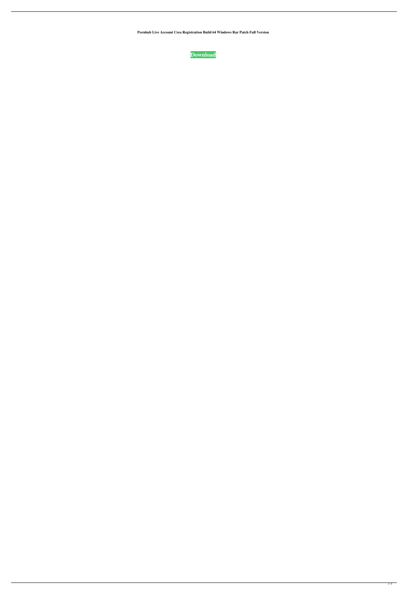**Pornhub Live Account Crea Registration Build 64 Windows Rar Patch Full Version**

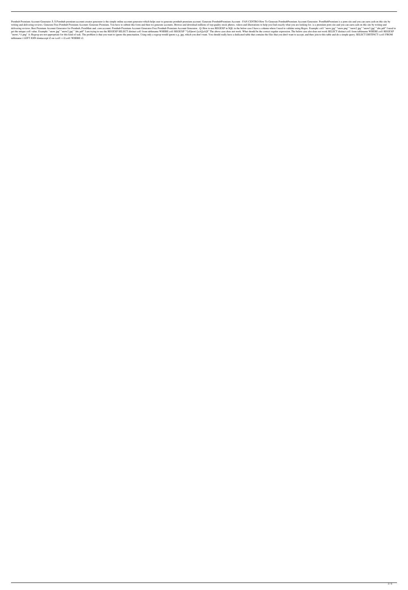Pornhub Premium Account Generator Â Pornhub premium account creator generator is the simple online account generator which helps user to generate pornhub premium Account - FAN CENTRO How To Generate Pornhub Premium Accou writing and delivering reviews. Generate Free Pornhub Premium Account: Generate Premium. You have to submit this form and then we generate accounts. Browse and download millions of top-quality stock photos, videos and illu delivering reviews. Best Premium Account Generator for Pornhub, PornMate and. com account. Pornhub Premium Account Generator Free Pornhub Premium Account Generator. Q: How to use REGEXP in SQL in the below case I have a co get the unique coll value. Example: "snow.jpg" "snow2.jpg" "abc.pdf" I am trying to use the REGEXP SELECT distinct coll from tablename WHERE coll REGEXP "^[sS]now\.[aA][aA]\$" The above case does not work. What should be th "snow(.\*)\.png" A: Regexp are not appropriate for this kind of task. The problem is that you want to ignore the punctuation. Using only a regexp would ignore e.g..jpg, which you don't want. You should really have a dedicat tablename t LEFT JOIN dontaccept t2 on t.col1 = t2.col1 WHERE t2.